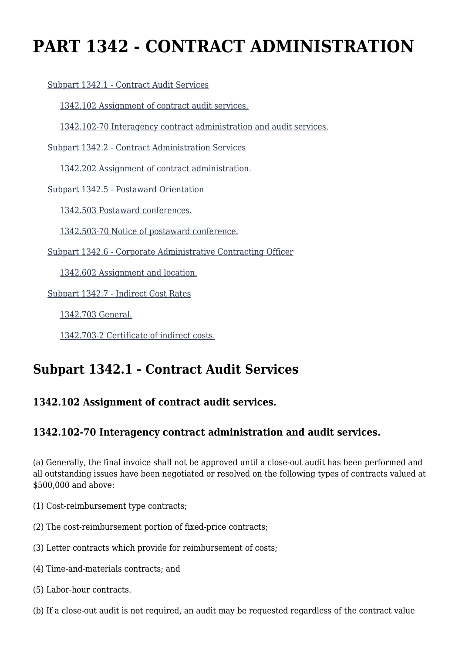# **PART 1342 - CONTRACT ADMINISTRATION**

[Subpart 1342.1 - Contract Audit Services](https://login.acquisition.gov/%5Brp:link:car-part-1342%5D#Subpart_1342_1_T48_50649381)

[1342.102 Assignment of contract audit services.](https://login.acquisition.gov/%5Brp:link:car-part-1342%5D#Section_1342_102_T48_5064938111)

[1342.102-70 Interagency contract administration and audit services.](https://login.acquisition.gov/%5Brp:link:car-part-1342%5D#Section_1342_102_70_T48_5064938112)

[Subpart 1342.2 - Contract Administration Services](https://login.acquisition.gov/%5Brp:link:car-part-1342%5D#Subpart_1342_2_T48_50649382)

[1342.202 Assignment of contract administration.](https://login.acquisition.gov/%5Brp:link:car-part-1342%5D#Section_1342_202_T48_5064938211)

[Subpart 1342.5 - Postaward Orientation](https://login.acquisition.gov/%5Brp:link:car-part-1342%5D#Subpart_1342_5_T48_50649383)

[1342.503 Postaward conferences.](https://login.acquisition.gov/%5Brp:link:car-part-1342%5D#Section_1342_503_T48_5064938311)

[1342.503-70 Notice of postaward conference.](https://login.acquisition.gov/%5Brp:link:car-part-1342%5D#Section_1342_503_70_T48_5064938312)

[Subpart 1342.6 - Corporate Administrative Contracting Officer](https://login.acquisition.gov/%5Brp:link:car-part-1342%5D#Subpart_1342_6_T48_50649384)

[1342.602 Assignment and location.](https://login.acquisition.gov/%5Brp:link:car-part-1342%5D#Section_1342_602_T48_5064938411)

[Subpart 1342.7 - Indirect Cost Rates](https://login.acquisition.gov/%5Brp:link:car-part-1342%5D#Subpart_1342_7_T48_50649385)

[1342.703 General.](https://login.acquisition.gov/%5Brp:link:car-part-1342%5D#Section_1342_703_T48_5064938511)

[1342.703-2 Certificate of indirect costs.](https://login.acquisition.gov/%5Brp:link:car-part-1342%5D#Section_1342_703_2_T48_5064938512)

### **Subpart 1342.1 - Contract Audit Services**

#### **1342.102 Assignment of contract audit services.**

#### **1342.102-70 Interagency contract administration and audit services.**

(a) Generally, the final invoice shall not be approved until a close-out audit has been performed and all outstanding issues have been negotiated or resolved on the following types of contracts valued at \$500,000 and above:

(1) Cost-reimbursement type contracts;

- (2) The cost-reimbursement portion of fixed-price contracts;
- (3) Letter contracts which provide for reimbursement of costs;
- (4) Time-and-materials contracts; and
- (5) Labor-hour contracts.
- (b) If a close-out audit is not required, an audit may be requested regardless of the contract value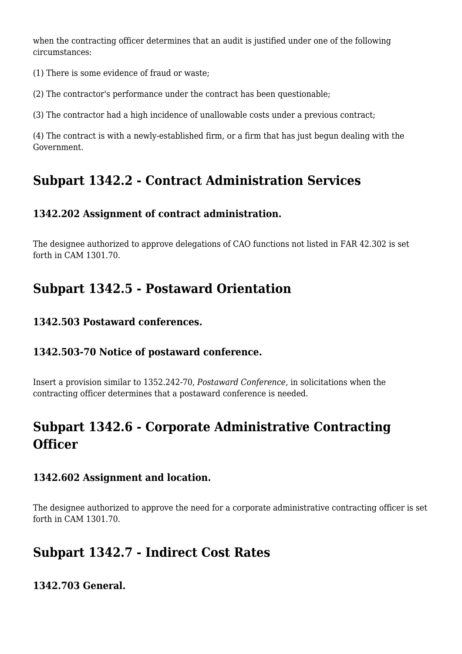when the contracting officer determines that an audit is justified under one of the following circumstances:

(1) There is some evidence of fraud or waste;

(2) The contractor's performance under the contract has been questionable;

(3) The contractor had a high incidence of unallowable costs under a previous contract;

(4) The contract is with a newly-established firm, or a firm that has just begun dealing with the Government.

## **Subpart 1342.2 - Contract Administration Services**

#### **1342.202 Assignment of contract administration.**

The designee authorized to approve delegations of CAO functions not listed in FAR 42.302 is set forth in CAM 1301.70.

# **Subpart 1342.5 - Postaward Orientation**

#### **1342.503 Postaward conferences.**

#### **1342.503-70 Notice of postaward conference.**

Insert a provision similar to 1352.242-70, *Postaward Conference,* in solicitations when the contracting officer determines that a postaward conference is needed.

## **Subpart 1342.6 - Corporate Administrative Contracting Officer**

#### **1342.602 Assignment and location.**

The designee authorized to approve the need for a corporate administrative contracting officer is set forth in CAM 1301.70.

### **Subpart 1342.7 - Indirect Cost Rates**

**1342.703 General.**